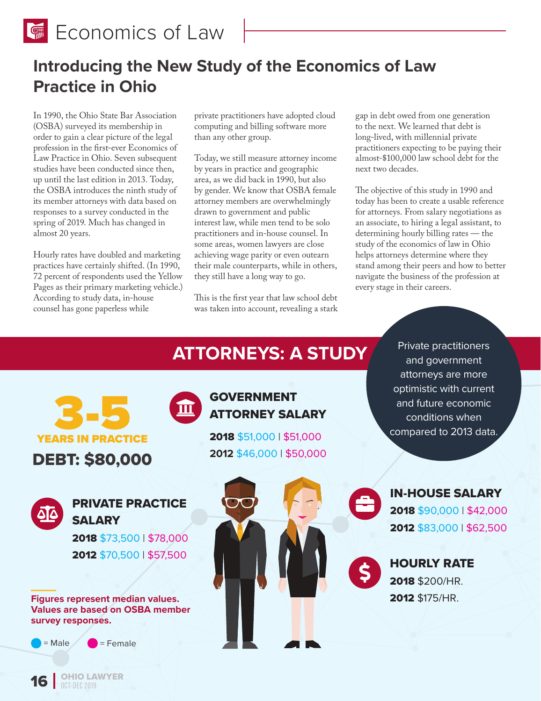**Economics of Law** 

## **Introducing the New Study of the Economics of Law Practice in Ohio**

In 1990, the Ohio State Bar Association (OSBA) surveyed its membership in order to gain a clear picture of the legal profession in the first-ever Economics of Law Practice in Ohio. Seven subsequent studies have been conducted since then, up until the last edition in 2013. Today, the OSBA introduces the ninth study of its member attorneys with data based on responses to a survey conducted in the spring of 2019. Much has changed in almost 20 years.

Hourly rates have doubled and marketing practices have certainly shifted. (In 1990, 72 percent of respondents used the Yellow Pages as their primary marketing vehicle.) According to study data, in-house counsel has gone paperless while

private practitioners have adopted cloud computing and billing software more than any other group.

Today, we still measure attorney income by years in practice and geographic area, as we did back in 1990, but also by gender. We know that OSBA female attorney members are overwhelmingly drawn to government and public interest law, while men tend to be solo practitioners and in-house counsel. In some areas, women lawyers are close achieving wage parity or even outearn their male counterparts, while in others, they still have a long way to go.

This is the first year that law school debt was taken into account, revealing a stark gap in debt owed from one generation to the next. We learned that debt is long-lived, with millennial private practitioners expecting to be paying their almost-\$100,000 law school debt for the next two decades.

The objective of this study in 1990 and today has been to create a usable reference for attorneys. From salary negotiations as an associate, to hiring a legal assistant, to determining hourly billing rates — the study of the economics of law in Ohio helps attorneys determine where they stand among their peers and how to better navigate the business of the profession at every stage in their careers.

Private practitioners



# **ATTORNEYS: A STUDY**

**OHIO LAWYER**